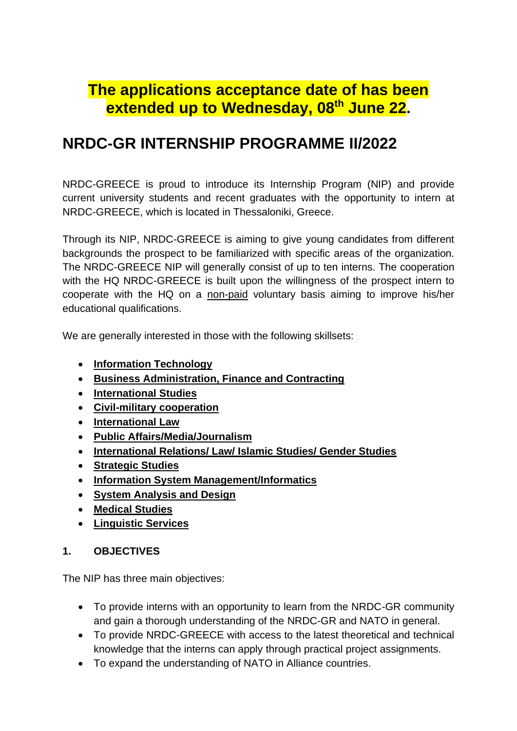# **The applications acceptance date of has been extended up to Wednesday, 08th June 22.**

# **NRDC-GR INTERNSHIP PROGRAMME II/2022**

NRDC-GREECE is proud to introduce its Internship Program (NIP) and provide current university students and recent graduates with the opportunity to intern at NRDC-GREECE, which is located in Thessaloniki, Greece.

Through its NIP, NRDC-GREECE is aiming to give young candidates from different backgrounds the prospect to be familiarized with specific areas of the organization. The NRDC-GREECE NIP will generally consist of up to ten interns. The cooperation with the HQ NRDC-GREECE is built upon the willingness of the prospect intern to cooperate with the HQ on a non-paid voluntary basis aiming to improve his/her educational qualifications.

We are generally interested in those with the following skillsets:

- **Information Technology**
- **Business Administration, Finance and Contracting**
- **International Studies**
- **Civil-military cooperation**
- **International Law**
- **Public Affairs/Media/Journalism**
- **International Relations/ Law/ Islamic Studies/ Gender Studies**
- **Strategic Studies**
- **Information System Management/Informatics**
- **System Analysis and Design**
- **Medical Studies**
- **Linguistic Services**

#### **1. OBJECTIVES**

The NIP has three main objectives:

- To provide interns with an opportunity to learn from the NRDC-GR community and gain a thorough understanding of the NRDC-GR and NATO in general.
- To provide NRDC-GREECE with access to the latest theoretical and technical knowledge that the interns can apply through practical project assignments.
- To expand the understanding of NATO in Alliance countries.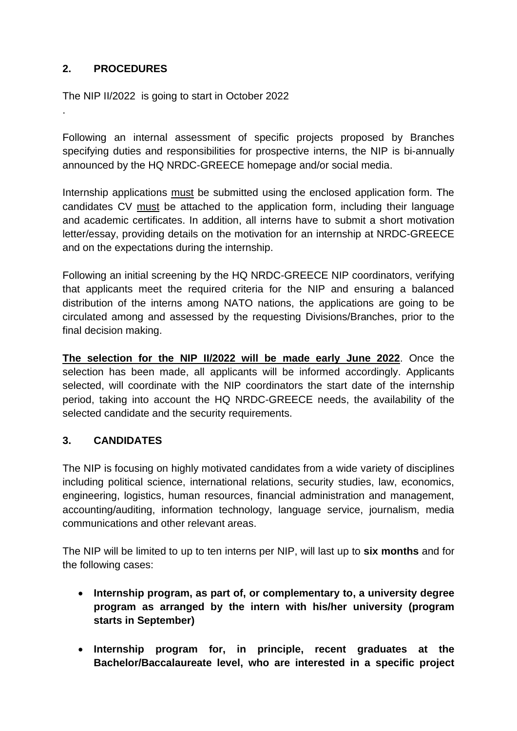## **2. PROCEDURES**

.

The NIP II/2022 is going to start in October 2022

Following an internal assessment of specific projects proposed by Branches specifying duties and responsibilities for prospective interns, the NIP is bi-annually announced by the HQ NRDC-GREECE homepage and/or social media.

Internship applications must be submitted using the enclosed application form. The candidates CV must be attached to the application form, including their language and academic certificates. In addition, all interns have to submit a short motivation letter/essay, providing details on the motivation for an internship at NRDC-GREECE and on the expectations during the internship.

Following an initial screening by the HQ NRDC-GREECE NIP coordinators, verifying that applicants meet the required criteria for the NIP and ensuring a balanced distribution of the interns among NATO nations, the applications are going to be circulated among and assessed by the requesting Divisions/Branches, prior to the final decision making.

**The selection for the NIP II/2022 will be made early June 2022**. Once the selection has been made, all applicants will be informed accordingly. Applicants selected, will coordinate with the NIP coordinators the start date of the internship period, taking into account the HQ NRDC-GREECE needs, the availability of the selected candidate and the security requirements.

### **3. CANDIDATES**

The NIP is focusing on highly motivated candidates from a wide variety of disciplines including political science, international relations, security studies, law, economics, engineering, logistics, human resources, financial administration and management, accounting/auditing, information technology, language service, journalism, media communications and other relevant areas.

The NIP will be limited to up to ten interns per NIP, will last up to **six months** and for the following cases:

- **Internship program, as part of, or complementary to, a university degree program as arranged by the intern with his/her university (program starts in September)**
- **Internship program for, in principle, recent graduates at the Bachelor/Baccalaureate level, who are interested in a specific project**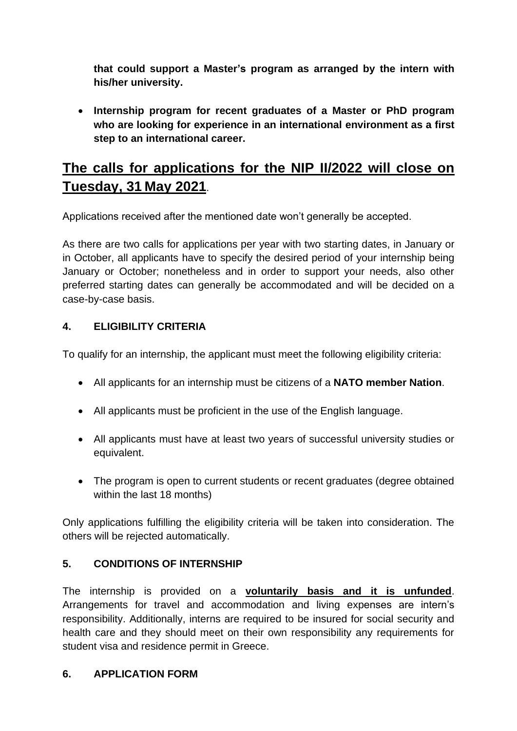**that could support a Master's program as arranged by the intern with his/her university.**

• **Internship program for recent graduates of a Master or PhD program who are looking for experience in an international environment as a first step to an international career.** 

# **The calls for applications for the NIP II/2022 will close on Tuesday, 31 May 2021**.

Applications received after the mentioned date won't generally be accepted.

As there are two calls for applications per year with two starting dates, in January or in October, all applicants have to specify the desired period of your internship being January or October; nonetheless and in order to support your needs, also other preferred starting dates can generally be accommodated and will be decided on a case-by-case basis.

### **4. ELIGIBILITY CRITERIA**

To qualify for an internship, the applicant must meet the following eligibility criteria:

- All applicants for an internship must be citizens of a **NATO member Nation**.
- All applicants must be proficient in the use of the English language.
- All applicants must have at least two years of successful university studies or equivalent.
- The program is open to current students or recent graduates (degree obtained within the last 18 months)

Only applications fulfilling the eligibility criteria will be taken into consideration. The others will be rejected automatically.

#### **5. CONDITIONS OF INTERNSHIP**

The internship is provided on a **voluntarily basis and it is unfunded**. Arrangements for travel and accommodation and living expenses are intern's responsibility. Additionally, interns are required to be insured for social security and health care and they should meet on their own responsibility any requirements for student visa and residence permit in Greece.

#### **6. APPLICATION FORM**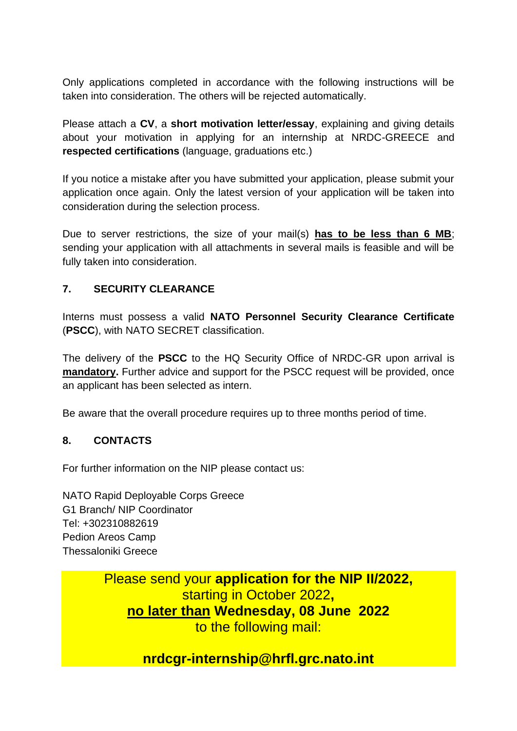Only applications completed in accordance with the following instructions will be taken into consideration. The others will be rejected automatically.

Please attach a **CV**, a **short motivation letter/essay**, explaining and giving details about your motivation in applying for an internship at NRDC-GREECE and **respected certifications** (language, graduations etc.)

If you notice a mistake after you have submitted your application, please submit your application once again. Only the latest version of your application will be taken into consideration during the selection process.

Due to server restrictions, the size of your mail(s) **has to be less than 6 MB**; sending your application with all attachments in several mails is feasible and will be fully taken into consideration.

### **7. SECURITY CLEARANCE**

Interns must possess a valid **NATO Personnel Security Clearance Certificate**  (**PSCC**), with NATO SECRET classification.

The delivery of the **PSCC** to the HQ Security Office of NRDC-GR upon arrival is **mandatory.** Further advice and support for the PSCC request will be provided, once an applicant has been selected as intern.

Be aware that the overall procedure requires up to three months period of time.

#### **8. CONTACTS**

For further information on the NIP please contact us:

NATO Rapid Deployable Corps Greece G1 Branch/ NIP Coordinator Tel: +302310882619 Pedion Areos Camp Thessaloniki Greece

> Please send your **application for the NIP II/2022,**  starting in October 2022**, no later than Wednesday, 08 June 2022** to the following mail:

# **nrdcgr-internship@hrfl.grc.nato.int**